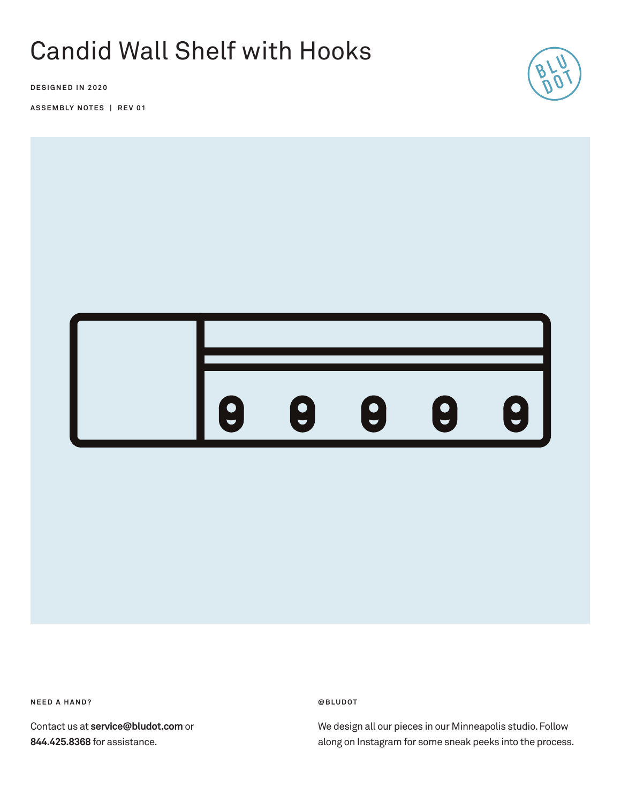# Candid Wall Shelf with Hooks

**DESIGNED IN 2020**

**ASSEMBLY NOTES | REV 01**





**NEED A HAND?** 

Contact us at **service@bludot.com** or **844.425.8368** for assistance.

**@ B L U D O T** 

We design all our pieces in our Minneapolis studio. Follow along on Instagram for some sneak peeks into the process.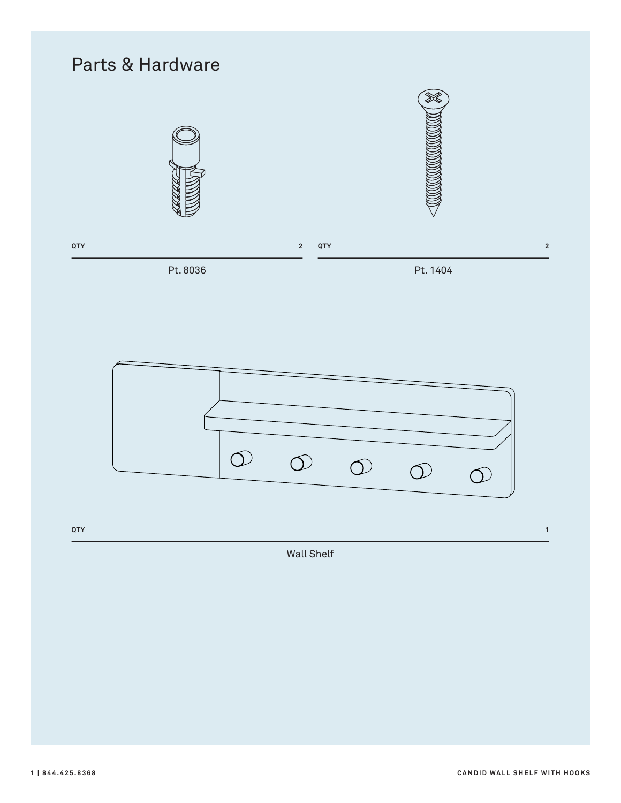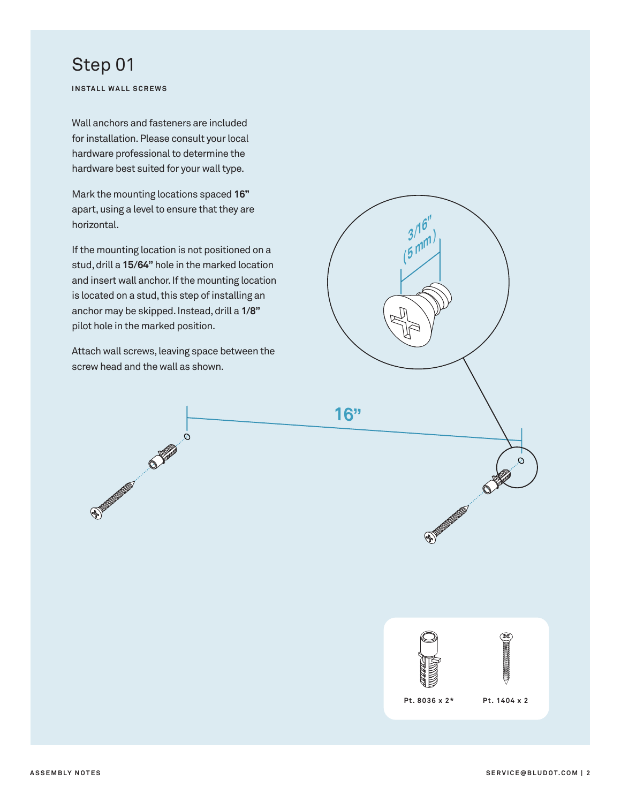#### Step 01

**INSTALL WALL SCREWS**

Wall anchors and fasteners are included for installation. Please consult your local hardware professional to determine the hardware best suited for your wall type.

Mark the mounting locations spaced **16"** apart, using a level to ensure that they are horizontal.

If the mounting location is not positioned on a stud, drill a **15/64"** hole in the marked location and insert wall anchor. If the mounting location is located on a stud, this step of installing an anchor may be skipped. Instead, drill a **1/8"** pilot hole in the marked position.

Attach wall screws, leaving space between the screw head and the wall as shown.

 $\Omega$ 

ACTES AND RESIDENCE